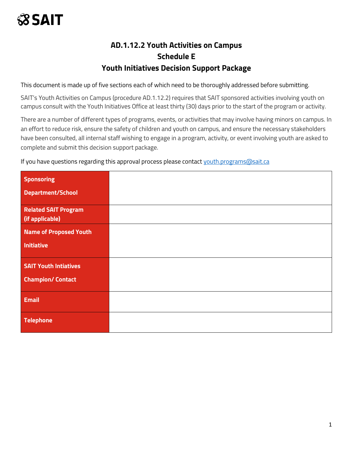### **AD.1.12.2 Youth Activities on Campus Schedule E Youth Initiatives Decision Support Package**

This document is made up of five sections each of which need to be thoroughly addressed before submitting.

SAIT's Youth Activities on Campus (procedure AD.1.12.2) requires that SAIT sponsored activities involving youth on campus consult with the Youth Initiatives Office at least thirty (30) days prior to the start of the program or activity.

There are a number of different types of programs, events, or activities that may involve having minors on campus. In an effort to reduce risk, ensure the safety of children and youth on campus, and ensure the necessary stakeholders have been consulted, all internal staff wishing to engage in a program, activity, or event involving youth are asked to complete and submit this decision support package.

If you have questions regarding this approval process please contact [youth.programs@sait.ca](mailto:youth.programs@sait.ca)

| <b>Sponsoring</b>             |  |
|-------------------------------|--|
|                               |  |
| <b>Department/School</b>      |  |
| <b>Related SAIT Program</b>   |  |
| (if applicable)               |  |
| <b>Name of Proposed Youth</b> |  |
| <b>Initiative</b>             |  |
|                               |  |
| <b>SAIT Youth Intiatives</b>  |  |
| <b>Champion/Contact</b>       |  |
|                               |  |
| <b>Email</b>                  |  |
|                               |  |
| <b>Telephone</b>              |  |
|                               |  |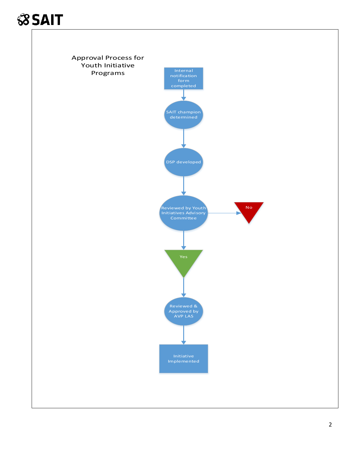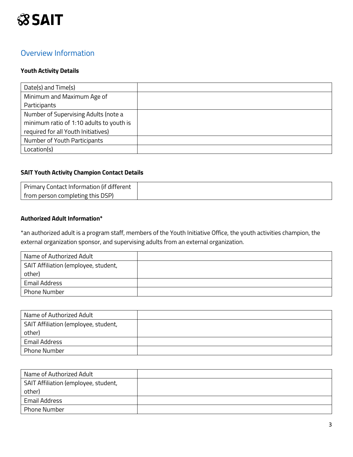

#### Overview Information

#### **Youth Activity Details**

| Date(s) and Time(s)                      |  |
|------------------------------------------|--|
| Minimum and Maximum Age of               |  |
| Participants                             |  |
| Number of Supervising Adults (note a     |  |
| minimum ratio of 1:10 adults to youth is |  |
| required for all Youth Initiatives)      |  |
| Number of Youth Participants             |  |
| Location(s)                              |  |

#### **SAIT Youth Activity Champion Contact Details**

| Primary Contact Information (if different |  |
|-------------------------------------------|--|
| from person completing this DSP)          |  |

#### **Authorized Adult Information\***

\*an authorized adult is a program staff, members of the Youth Initiative Office, the youth activities champion, the external organization sponsor, and supervising adults from an external organization.

| Name of Authorized Adult             |  |
|--------------------------------------|--|
| SAIT Affiliation (employee, student, |  |
| other)                               |  |
| <b>Email Address</b>                 |  |
| <b>Phone Number</b>                  |  |

| Name of Authorized Adult             |  |
|--------------------------------------|--|
| SAIT Affiliation (employee, student, |  |
| other)                               |  |
| <b>Email Address</b>                 |  |
| Phone Number                         |  |

| Name of Authorized Adult             |  |
|--------------------------------------|--|
| SAIT Affiliation (employee, student, |  |
| other)                               |  |
| Email Address                        |  |
| Phone Number                         |  |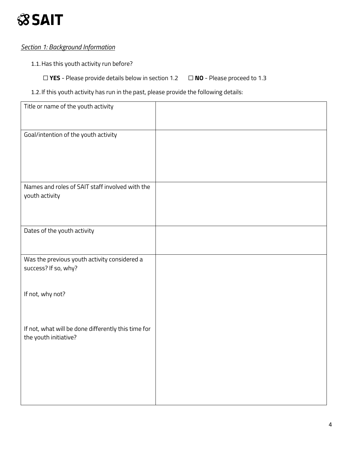#### *Section 1: Background Information*

1.1.Has this youth activity run before?

☐ **YES** - Please provide details below in section 1.2 ☐ **NO** - Please proceed to 1.3

#### 1.2.If this youth activity has run in the past, please provide the following details:

| Title or name of the youth activity                                          |  |
|------------------------------------------------------------------------------|--|
| Goal/intention of the youth activity                                         |  |
| Names and roles of SAIT staff involved with the<br>youth activity            |  |
| Dates of the youth activity                                                  |  |
| Was the previous youth activity considered a<br>success? If so, why?         |  |
| If not, why not?                                                             |  |
| If not, what will be done differently this time for<br>the youth initiative? |  |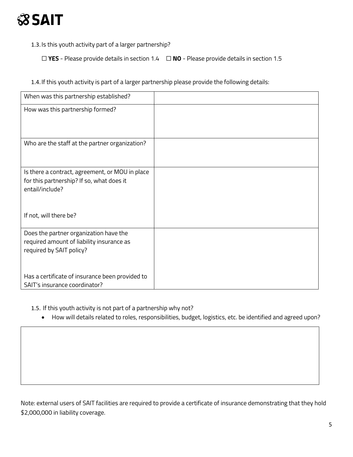1.3.Is this youth activity part of a larger partnership?

☐ **YES** - Please provide details in section 1.4 ☐ **NO** - Please provide details in section 1.5

1.4.If this youth activity is part of a larger partnership please provide the following details:

| When was this partnership established?                                                                          |  |
|-----------------------------------------------------------------------------------------------------------------|--|
| How was this partnership formed?                                                                                |  |
| Who are the staff at the partner organization?                                                                  |  |
| Is there a contract, agreement, or MOU in place<br>for this partnership? If so, what does it<br>entail/include? |  |
| If not, will there be?                                                                                          |  |
| Does the partner organization have the<br>required amount of liability insurance as<br>required by SAIT policy? |  |
| Has a certificate of insurance been provided to<br>SAIT's insurance coordinator?                                |  |

1.5. If this youth activity is not part of a partnership why not?

• How will details related to roles, responsibilities, budget, logistics, etc. be identified and agreed upon?

Note: external users of SAIT facilities are required to provide a certificate of insurance demonstrating that they hold \$2,000,000 in liability coverage.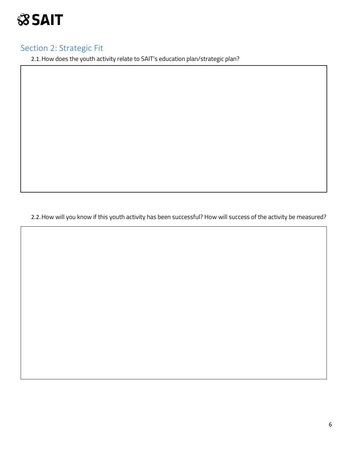

### Section 2: Strategic Fit

2.1.How does the youth activity relate to SAIT's education plan/strategic plan?

2.2.How will you know if this youth activity has been successful? How will success of the activity be measured?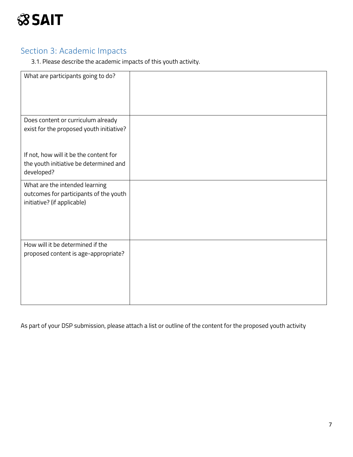

### Section 3: Academic Impacts

3.1. Please describe the academic impacts of this youth activity.

| What are participants going to do?                                                                      |  |
|---------------------------------------------------------------------------------------------------------|--|
| Does content or curriculum already                                                                      |  |
| exist for the proposed youth initiative?                                                                |  |
| If not, how will it be the content for                                                                  |  |
| the youth initiative be determined and<br>developed?                                                    |  |
| What are the intended learning<br>outcomes for participants of the youth<br>initiative? (if applicable) |  |
| How will it be determined if the                                                                        |  |
| proposed content is age-appropriate?                                                                    |  |
|                                                                                                         |  |
|                                                                                                         |  |

As part of your DSP submission, please attach a list or outline of the content for the proposed youth activity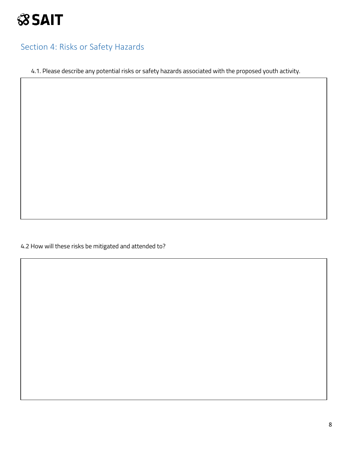### Section 4: Risks or Safety Hazards

4.1. Please describe any potential risks or safety hazards associated with the proposed youth activity.

4.2 How will these risks be mitigated and attended to?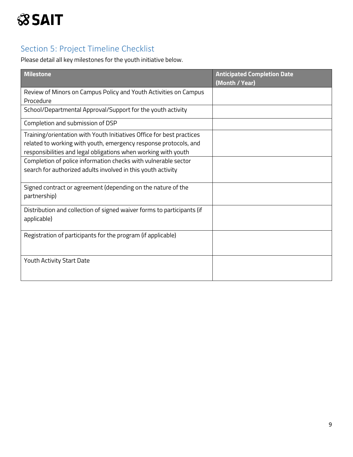### Section 5: Project Timeline Checklist

Please detail all key milestones for the youth initiative below.

| <b>Milestone</b>                                                       | <b>Anticipated Completion Date</b><br>(Month / Year) |
|------------------------------------------------------------------------|------------------------------------------------------|
| Review of Minors on Campus Policy and Youth Activities on Campus       |                                                      |
| Procedure                                                              |                                                      |
| School/Departmental Approval/Support for the youth activity            |                                                      |
| Completion and submission of DSP                                       |                                                      |
| Training/orientation with Youth Initiatives Office for best practices  |                                                      |
| related to working with youth, emergency response protocols, and       |                                                      |
| responsibilities and legal obligations when working with youth         |                                                      |
| Completion of police information checks with vulnerable sector         |                                                      |
| search for authorized adults involved in this youth activity           |                                                      |
| Signed contract or agreement (depending on the nature of the           |                                                      |
| partnership)                                                           |                                                      |
| Distribution and collection of signed waiver forms to participants (if |                                                      |
| applicable)                                                            |                                                      |
| Registration of participants for the program (if applicable)           |                                                      |
|                                                                        |                                                      |
|                                                                        |                                                      |
| Youth Activity Start Date                                              |                                                      |
|                                                                        |                                                      |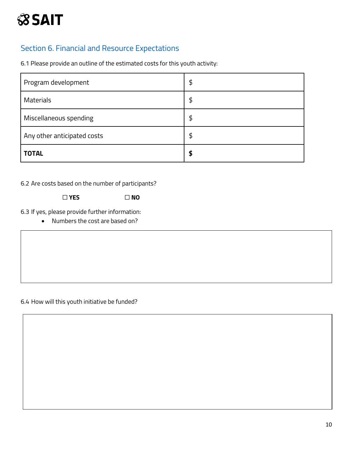#### Section 6. Financial and Resource Expectations

6.1 Please provide an outline of the estimated costs for this youth activity:

| Program development         | \$ |
|-----------------------------|----|
| <b>Materials</b>            | \$ |
| Miscellaneous spending      | \$ |
| Any other anticipated costs | \$ |
| <b>TOTAL</b>                | S  |

6.2 Are costs based on the number of participants?

☐ **YES** ☐ **NO**

6.3 If yes, please provide further information:

• Numbers the cost are based on?

6.4 How will this youth initiative be funded?